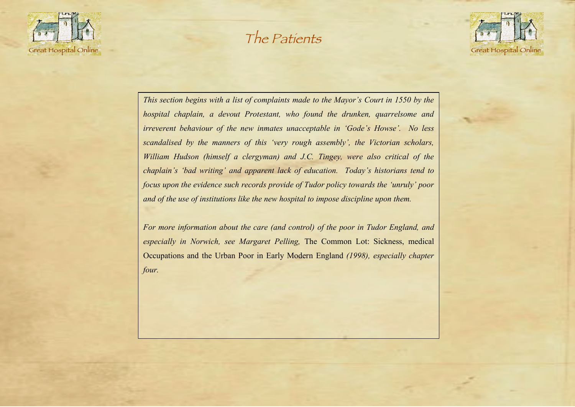

## The Patients



*This section begins with a list of complaints made to the Mayor's Court in 1550 by the hospital chaplain, a devout Protestant, who found the drunken, quarrelsome and irreverent behaviour of the new inmates unacceptable in 'Gode's Howse'. No less scandalised by the manners of this 'very rough assembly', the Victorian scholars, William Hudson (himself a clergyman) and J.C. Tingey, were also critical of the chaplain's 'bad writing' and apparent lack of education. Today's historians tend to focus upon the evidence such records provide of Tudor policy towards the 'unruly' poor and of the use of institutions like the new hospital to impose discipline upon them.*

*For more information about the care (and control) of the poor in Tudor England, and especially in Norwich, see Margaret Pelling,* The Common Lot: Sickness, medical Occupations and the Urban Poor in Early Modern England *(1998), especially chapter four.*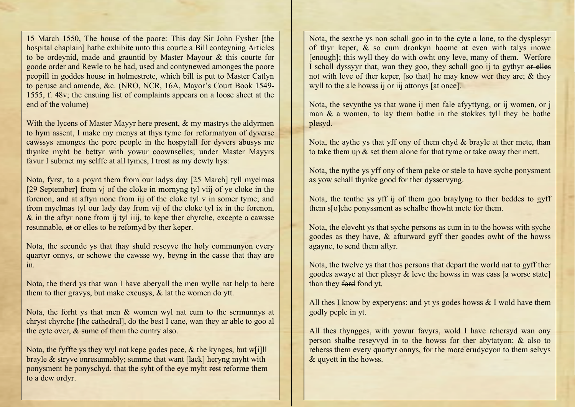15 March 1550, The house of the poore: This day Sir John Fysher [the hospital chaplain] hathe exhibite unto this courte a Bill conteyning Articles to be ordeynid, made and grauntid by Master Mayour & this courte for goode order and Rewle to be had, used and contynewed amonges the poore peopill in goddes house in holmestrete, which bill is put to Master Catlyn to peruse and amende, &c. (NRO, NCR, 16A, Mayor's Court Book 1549- 1555, f. 48v; the ensuing list of complaints appears on a loose sheet at the end of the volume)

With the lycens of Master Mayyr here present, & my mastrys the aldyrmen to hym assent, I make my menys at thys tyme for reformatyon of dyverse cawssys amonges the pore people in the hospytall for dyvers abusys me thynke myht be bettyr with yowur coownselles; under Master Mayyrs favur I submet my selffe at all tymes, I trost as my dewty hys:

Nota, fyrst, to a poynt them from our ladys day [25 March] tyll myelmas [29 September] from vj of the cloke in mornyng tyl viij of ye cloke in the forenon, and at aftyn none from iij of the cloke tyl v in somer tyme; and from myelmas tyl our lady day from vij of the cloke tyl ix in the forenon,  $\&$  in the aftyr none from ij tyl iiij, to kepe ther chyrche, excepte a cawsse resunnable, at or elles to be refomyd by ther keper.

Nota, the secunde ys that thay shuld reseyve the holy communyon every quartyr onnys, or schowe the cawsse wy, beyng in the casse that thay are in.

Nota, the therd ys that wan I have aberyall the men wylle nat help to bere them to ther gravys, but make excusys, & lat the women do ytt.

Nota, the forht ys that men & women wyl nat cum to the sermunnys at chryst chyrche [the cathedral], do the best I cane, wan they ar able to goo al the cyte over, & sume of them the cuntry also.

Nota, the fyffte ys they wyl nat kepe godes pece,  $\&$  the kynges, but w[i]ll brayle & stryve onresunnably; summe that want [lack] heryng myht with ponysment be ponyschyd, that the syht of the eye myht rest reforme them to a dew ordyr.

Nota, the sexthe ys non schall goo in to the cyte a lone, to the dysplesyr of thyr keper, & so cum dronkyn hoome at even with talys inowe [enough]; this wyll they do with owht ony leve, many of them. Werfore I schall dyssyyr that, wan they goo, they schall goo ij to gythyr or elles not with leve of ther keper. [so that] he may know wer they are;  $\&$  they wyll to the ale howss ij or iij attonys [at once].

Nota, the sevynthe ys that wane ij men fale afyyttyng, or ij women, or j man & a women, to lay them bothe in the stokkes tyll they be bothe plesyd.

Nota, the aythe ys that yff ony of them chyd  $&$  brayle at ther mete, than to take them up & set them alone for that tyme or take away ther mett.

Nota, the nythe ys yff ony of them peke or stele to have syche ponysment as yow schall thynke good for ther dysservyng.

Nota, the tenthe ys yff ij of them goo braylyng to ther beddes to gyff them s[o]che ponyssment as schalbe thowht mete for them.

Nota, the eleveht ys that syche persons as cum in to the howss with syche goodes as they have, & afturward gyff ther goodes owht of the howss agayne, to send them aftyr.

Nota, the twelve ys that thos persons that depart the world nat to gyff ther goodes awaye at ther plesyr & leve the howss in was cass [a worse state] than they ford fond yt.

All thes I know by experyens; and yt ys godes howss  $& I$  wold have them godly peple in yt.

All thes thyngges, with yowur favyrs, wold I have rehersyd wan ony person shalbe reseyvyd in to the howss for ther abytatyon; & also to reherss them every quartyr onnys, for the more erudycyon to them selvys & quyett in the howss.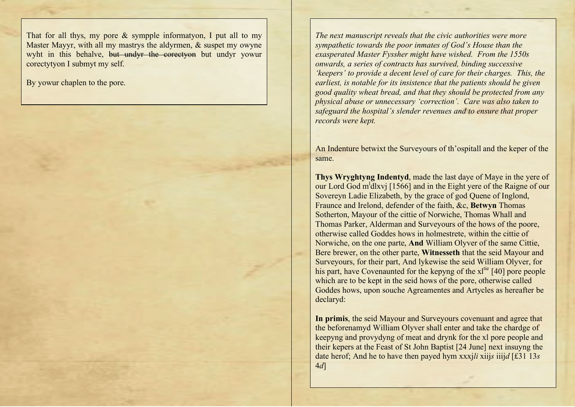That for all thys, my pore & sympple informatyon, I put all to my Master Mayyr, with all my mastrys the aldyrmen, & suspet my owyne wyht in this behalve, but undyr the corectyon but undyr yowur corectytyon I submyt my self.

By yowur chaplen to the pore.

*The next manuscript reveals that the civic authorities were more sympathetic towards the poor inmates of God's House than the exasperated Master Fyssher might have wished. From the 1550s onwards, a series of contracts has survived, binding successive 'keepers' to provide a decent level of care for their charges. This, the earliest, is notable for its insistence that the patients should be given good quality wheat bread, and that they should be protected from any physical abuse or unnecessary 'correction'. Care was also taken to safeguard the hospital's slender revenues and to ensure that proper records were kept.*

An Indenture betwixt the Surveyours of th'ospitall and the keper of the same.

**Thys Wryghtyng Indentyd**, made the last daye of Maye in the yere of our Lord God m<sup>1</sup>dlxvj [1566] and in the Eight yere of the Raigne of our Sovereyn Ladie Elizabeth, by the grace of god Quene of Inglond, Fraunce and Irelond, defender of the faith, &c, **Betwyn** Thomas Sotherton, Mayour of the cittie of Norwiche, Thomas Whall and Thomas Parker, Alderman and Surveyours of the hows of the poore, otherwise called Goddes hows in holmestrete, within the cittie of Norwiche, on the one parte, **And** William Olyver of the same Cittie, Bere brewer, on the other parte, **Witnesseth** that the seid Mayour and Surveyours, for their part, And lykewise the seid William Olyver, for his part, have Covenaunted for the kepyng of the xl<sup>tie</sup> [40] pore people which are to be kept in the seid hows of the pore, otherwise called Goddes hows, upon souche Agreamentes and Artycles as hereafter be declaryd:

**In primis**, the seid Mayour and Surveyours covenuant and agree that the beforenamyd William Olyver shall enter and take the chardge of keepyng and provydyng of meat and drynk for the xl pore people and their kepers at the Feast of St John Baptist [24 June] next insuyng the date herof; And he to have then payed hym xxxj*li* xiij*s* iiij*d* [£31 13*s* 4*d*]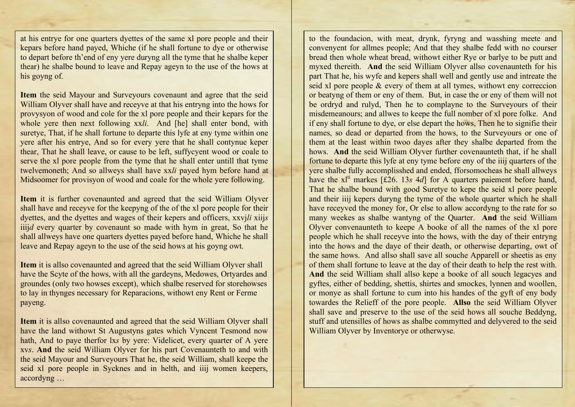at his entrye for one quarters dyettes of the same xl pore people and their kepars before hand payed, Whiche (if he shall fortune to dye or otherwise to depart before th'end of eny yere duryng all the tyme that he shalbe keper thear) he shalbe bound to leave and Repay ageyn to the use of the hows at his goyng of.

**Item** the seid Mayour and Surveyours covenaunt and agree that the seid William Olyver shall have and receyve at that his entryng into the hows for provysyon of wood and cole for the xl pore people and their kepars for the whole yere then next following xx*li*. And [he] shall enter bond, with suretye, That, if he shall fortune to departe this lyfe at eny tyme within one yere after his entrye, And so for every yere that he shall contynue keper thear, That he shall leave, or cause to be left, suffycyent wood or coale to serve the xl pore people from the tyme that he shall enter untill that tyme twelvemoneth; And so allweys shall have xx*li* payed hym before hand at Midsoomer for provisyon of wood and coale for the whole yere following.

**Item** it is further covenaunted and agreed that the seid William Olyver shall have and receyve for the keepyng of the of the xl pore people for their dyettes, and the dyettes and wages of their kepers and officers, xxvj*li* xiij*s* iiijd every quarter by covenaunt so made with hym in great, So that he shall allweys have one quarters dyettes payed before hand, Whiche he shall leave and Repay ageyn to the use of the seid hows at his goyng owt.

**Item** it is allso covenaunted and agreed that the seid William Olyver shall have the Scyte of the hows, with all the gardeyns, Medowes, Ortyardes and groundes (only two howses except), which shalbe reserved for storehowses to lay in thynges necessary for Reparacions, withowt eny Rent or Ferme payeng.

**Item** it is allso covenaunted and agreed that the seid William Olyver shall have the land withowt St Augustyns gates which Vyncent Tesmond now hath, And to paye therfor lx*s* by yere: Videlicet, every quarter of A yere xv*s*. **And** the seid William Olyver for his part Covenaunteth to and with the seid Mayour and Surveyours That he, the seid William, shall keepe the seid xl pore people in Sycknes and in helth, and iiij women keepers, accordyng …

to the foundacion, with meat, drynk, fyryng and wasshing meete and convenyent for allmes people; And that they shalbe fedd with no courser bread then whole wheat bread, withowt either Rye or barlye to be putt and myxed thereith. **And** the seid William Olyver allso covenaunteth for his part That he, his wyfe and kepers shall well and gently use and intreate the seid xl pore people & every of them at all tymes, withowt eny correccion or beatyng of them or eny of them. But, in case the or eny of them will not be ordryd and rulyd, Then he to complayne to the Surveyours of their misdemeanours; and allwes to keepe the full nomber of xl pore folke. And if eny shall fortune to dye, or else depart the hows, Then he to signifie their names, so dead or departed from the hows, to the Surveyours or one of them at the least within twoo dayes after they shalbe departed from the hows. **And** the seid William Olyver further covenaunteth that, if he shall fortune to departe this lyfe at eny tyme before eny of the iiij quarters of the yere shalbe fully accomplisshed and ended, fforsomocheas he shall allweys have the  $xI<sup>ti</sup>$  markes [£26. 13*s* 4*d*] for A quarters paiement before hand, That he shalbe bound with good Suretye to kepe the seid xl pore people and their iiij kepers duryng the tyme of the whole quarter which he shall have receyved the money for, Or else to allow accordyng to the rate for so many weekes as shalbe wantyng of the Quarter. **And** the seid William Olyver convenaunteth to keepe A booke of all the names of the xl pore people which he shall receyve into the hows, with the day of their entryng into the hows and the daye of their death, or otherwise departing, owt of the same hows. And allso shall save all souche Apparell or sheetis as eny of them shall fortune to leave at the day of their death to help the rest with. **And** the seid William shall allso kepe a booke of all souch legacyes and gyftes, either of bedding, shettis, shirtes and smockes, lynnen and woollen, or monye as shall fortune to cum into his handes of the gyft of eny body towardes the Relieff of the pore people. **Allso** the seid William Olyver shall save and preserve to the use of the seid hows all souche Beddyng, stuff and utensilles of hows as shalbe commytted and delyvered to the seid William Olyver by Inventorye or otherwyse.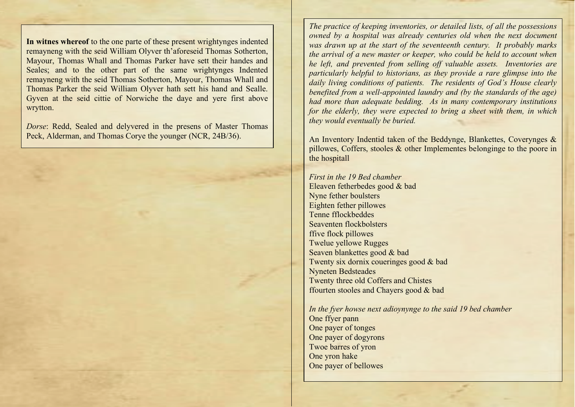**In witnes whereof** to the one parte of these present wrightynges indented remayneng with the seid William Olyver th'aforeseid Thomas Sotherton, Mayour, Thomas Whall and Thomas Parker have sett their handes and Seales; and to the other part of the same wrightynges Indented remayneng with the seid Thomas Sotherton, Mayour, Thomas Whall and Thomas Parker the seid William Olyver hath sett his hand and Sealle. Gyven at the seid cittie of Norwiche the daye and yere first above wrytton.

*Dorse*: Redd, Sealed and delyvered in the presens of Master Thomas Peck, Alderman, and Thomas Corye the younger (NCR, 24B/36).

*The practice of keeping inventories, or detailed lists, of all the possessions owned by a hospital was already centuries old when the next document was drawn up at the start of the seventeenth century. It probably marks the arrival of a new master or keeper, who could be held to account when he left, and prevented from selling off valuable assets. Inventories are particularly helpful to historians, as they provide a rare glimpse into the daily living conditions of patients. The residents of God's House clearly benefited from a well-appointed laundry and (by the standards of the age) had more than adequate bedding. As in many contemporary institutions for the elderly, they were expected to bring a sheet with them, in which they would eventually be buried.*

An Inventory Indentid taken of the Beddynge, Blankettes, Coverynges & pillowes, Coffers, stooles & other Implementes belonginge to the poore in the hospitall

*First in the 19 Bed chamber* Eleaven fetherbedes good & bad Nyne fether boulsters Eighten fether pillowes Tenne fflockbeddes Seaventen flockbolsters ffive flock pillowes Twelue yellowe Rugges Seaven blankettes good & bad Twenty six dornix coueringes good & bad Nyneten Bedsteades Twenty three old Coffers and Chistes ffourten stooles and Chayers good & bad

*In the fyer howse next adioynynge to the said 19 bed chamber* One ffyer pann One payer of tonges One payer of dogyrons Twoe barres of yron One yron hake One payer of bellowes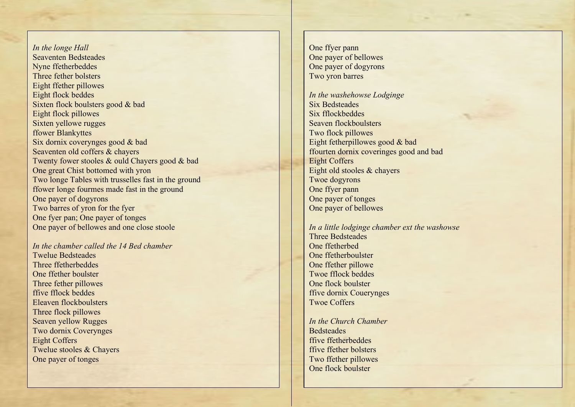*In the longe Hall* Seaventen Bedsteades Nyne ffetherbeddes Three fether bolsters Eight ffether pillowes Eight flock beddes Sixten flock boulsters good & bad Eight flock pillowes Sixten yellowe rugges ffower Blankyttes Six dornix coverynges good & bad Seaventen old coffers & chayers Twenty fower stooles & ould Chayers good & bad One great Chist bottomed with yron Two longe Tables with trusselles fast in the ground ffower longe fourmes made fast in the ground One payer of dogyrons Two barres of yron for the fyer One fyer pan; One payer of tonges One payer of bellowes and one close stoole

*In the chamber called the 14 Bed chamber* Twelue Bedsteades Three ffetherbeddes One ffether boulster Three fether pillowes ffive fflock beddes Eleaven flockboulsters Three flock pillowes Seaven yellow Rugges Two dornix Coverynges Eight Coffers Twelue stooles & Chayers One payer of tonges

One ffyer pann One payer of bellowes One payer of dogyrons Two yron barres

*In the washehowse Lodginge* Six Bedsteades Six fflockbeddes Seaven flockboulsters Two flock pillowes Eight fetherpillowes good & bad ffourten dornix coveringes good and bad Eight Coffers Eight old stooles & chayers Twoe dogyrons One ffyer pann One payer of tonges One payer of bellowes

*In a little lodginge chamber ext the washowse* Three Bedsteades One ffetherbed One ffetherboulster One ffether pillowe Twoe fflock beddes One flock boulster ffive dornix Couerynges Twoe Coffers

*In the Church Chamber* **Bedsteades** ffive ffetherbeddes ffive ffether bolsters Two ffether pillowes One flock boulster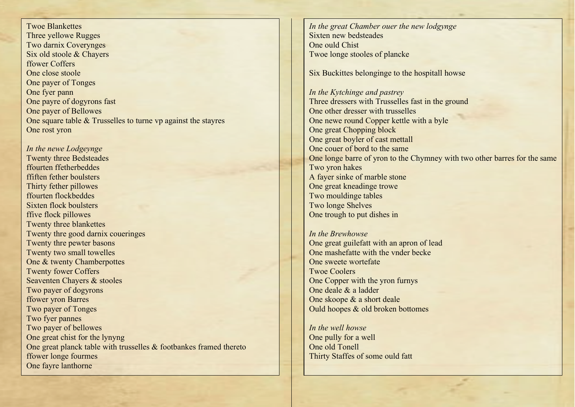Twoe Blankettes Three yellowe Rugges Two darnix Coverynges Six old stoole & Chayers ffower Coffers One close stoole One payer of Tonges One fyer pann One payre of dogyrons fast One payer of Bellowes One square table & Trusselles to turne vp against the stayres One rost yron

*In the newe Lodgeynge* Twenty three Bedsteades ffourten ffetherbeddes ffiften fether boulsters Thirty fether pillowes ffourten flockbeddes Sixten flock boulsters ffive flock pillowes Twenty three blankettes Twenty thre good darnix coueringes Twenty thre pewter basons Twenty two small towelles One & twenty Chamberpottes Twenty fower Coffers Seaventen Chayers & stooles Two payer of dogyrons ffower yron Barres Two payer of Tonges Two fyer pannes Two payer of bellowes One great chist for the lynyng One great planck table with trusselles & footbankes framed thereto ffower longe fourmes One fayre lanthorne

*In the great Chamber ouer the new lodgynge* Sixten new bedsteades One ould Chist Twoe longe stooles of plancke

Six Buckittes belonginge to the hospitall howse

*In the Kytchinge and pastrey* Three dressers with Trusselles fast in the ground One other dresser with trusselles One newe round Copper kettle with a byle One great Chopping block One great boyler of cast mettall One couer of bord to the same One longe barre of yron to the Chymney with two other barres for the same Two yron hakes A fayer sinke of marble stone One great kneadinge trowe Two mouldinge tables Two longe Shelves One trough to put dishes in

*In the Brewhowse* One great guilefatt with an apron of lead One mashefatte with the vnder becke One sweete wortefate Twoe Coolers One Copper with the yron furnys One deale & a ladder One skoope & a short deale Ould hoopes & old broken bottomes

*In the well howse* One pully for a well One old Tonell Thirty Staffes of some ould fatt